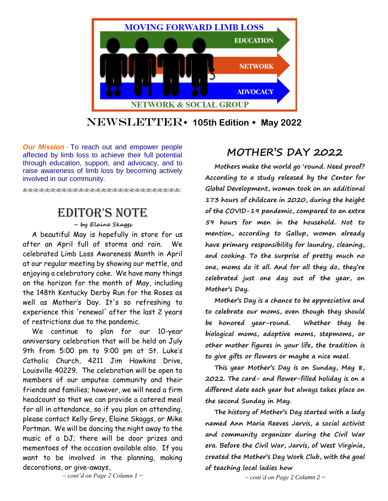

## Newsletter **105th Edition May 2022**

*Our Mission* - To reach out and empower people affected by limb loss to achieve their full potential through education, support, and advocacy, and to raise awareness of limb loss by becoming actively involved in our community.

# Editor's Note

**– by Elaine Skaggs**

A beautiful May is hopefully in store for us after an April full of storms and rain. We celebrated Limb Loss Awareness Month in April at our regular meeting by showing our mettle, and enjoying a celebratory cake. We have many things on the horizon for the month of May, including the 148th Kentucky Derby Run for the Roses as well as Mother's Day. It's so refreshing to experience this 'renewal' after the last 2 years of restrictions due to the pandemic.

We continue to plan for our 10-year anniversary celebration that will be held on July 9th from 5:00 pm to 9:00 pm at St. Luke's Catholic Church, 4211 Jim Hawkins Drive, Louisville 40229. The celebration will be open to members of our amputee community and their friends and families; however, we will need a firm headcount so that we can provide a catered meal for all in attendance, so if you plan on attending, please contact Kelly Grey, Elaine Skaggs, or Mike Portman. We will be dancing the night away to the music of a DJ; there will be door prizes and mementoes of the occasion available also. If you want to be involved in the planning, making decorations, or give-aways,

## **MOTHER'S DAY 2022**

**Mothers make the world go 'round. Need proof? According to a study released by the Center for Global Development, women took on an additional 173 hours of childcare in 2020, during the height of the COVID-19 pandemic, compared to an extra 59 hours for men in the household. Not to mention, according to Gallup, women already have primary responsibility for laundry, cleaning, and cooking. To the surprise of pretty much no one, moms do it all. And for all they do, they're celebrated just one day out of the year, on Mother's Day.**

**Mother's Day is a chance to be appreciative and to celebrate our moms, even though they should be honored year-round. Whether they be biological moms, adoptive moms, stepmoms, or other mother figures in your life, the tradition is to give gifts or flowers or maybe a nice meal.**

**This year Mother's Day is on Sunday, May 8, 2022. The card- and flower-filled holiday is on a different date each year but always takes place on the second Sunday in May.**

**The history of Mother's Day started with a lady named Ann Maria Reeves Jarvis, a social activist and community organizer during the Civil War era. Before the Civil War, Jarvis, of West Virginia, created the Mother's Day Work Club, with the goal of teaching local ladies how**

*~ cont'd on Page 2 Column 1 ~*

*~ cont'd on Page 2 Column 2 ~*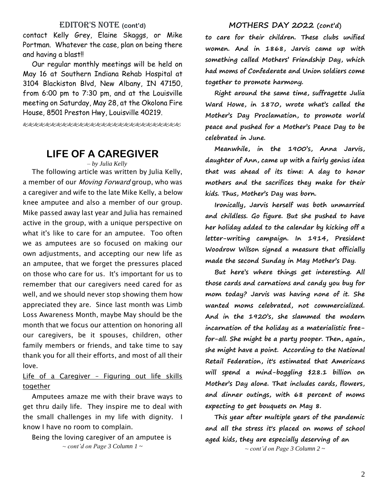### EDITOR'S NOTE (cont'd)

contact Kelly Grey, Elaine Skaggs, or Mike Portman. Whatever the case, plan on being there and having a blast!!

Our regular monthly meetings will be held on May 16 at Southern Indiana Rehab Hospital at 3104 Blackiston Blvd, New Albany, IN 47150, from 6:00 pm to 7:30 pm, and at the Louisville meeting on Saturday, May 28, at the Okolona Fire House, 8501 Preston Hwy, Louisville 40219.

EEEEEEEEEEEEEEEEEEEEEEEEEEEEE

## **LIFE OF A CAREGIVER**

*– by Julia Kelly*

The following article was written by Julia Kelly, a member of our *Moving Forward* group, who was a caregiver and wife to the late Mike Kelly, a below knee amputee and also a member of our group. Mike passed away last year and Julia has remained active in the group, with a unique perspective on what it's like to care for an amputee. Too often we as amputees are so focused on making our own adjustments, and accepting our new life as an amputee, that we forget the pressures placed on those who care for us. It's important for us to remember that our caregivers need cared for as well, and we should never stop showing them how appreciated they are. Since last month was Limb Loss Awareness Month, maybe May should be the month that we focus our attention on honoring all our caregivers, be it spouses, children, other family members or friends, and take time to say thank you for all their efforts, and most of all their love.

### Life of a Caregiver - Figuring out life skills together

Amputees amaze me with their brave ways to get thru daily life. They inspire me to deal with the small challenges in my life with dignity. I know I have no room to complain.

Being the loving caregiver of an amputee is *~ cont'd on Page 3 Column 1 ~*

### **MOTHERS DAY 2022 (cont'd)**

**to care for their children. These clubs unified women. And in 1868, Jarvis came up with something called Mothers' Friendship Day, which had moms of Confederate and Union soldiers come together to promote harmony.**

**Right around the same time, suffragette Julia Ward Howe, in 1870, wrote what's called the Mother's Day Proclamation, to promote world peace and pushed for a Mother's Peace Day to be celebrated in June.**

**Meanwhile, in the 1900's, Anna Jarvis, daughter of Ann, came up with a fairly genius idea that was ahead of its time: A day to honor mothers and the sacrifices they make for their kids. Thus, Mother's Day was born.**

**Ironically, Jarvis herself was both unmarried and childless. Go figure. But she pushed to have her holiday added to the calendar by kicking off a letter-writing campaign. In 1914, President Woodrow Wilson signed a measure that officially made the second Sunday in May Mother's Day.**

**But here's where things get interesting. All those cards and carnations and candy you buy for mom today? Jarvis was having none of it. She wanted moms celebrated, not commercialized. And in the 1920's, she slammed the modern incarnation of the holiday as a materialistic freefor-all. She might be a party pooper. Then, again, she might have a point. According to the National Retail Federation, it's estimated that Americans will spend a mind-boggling \$28.1 billion on Mother's Day alone. That includes cards, flowers, and dinner outings, with 68 percent of moms expecting to get bouquets on May 8.**

**This year after multiple years of the pandemic and all the stress it's placed on moms of school aged kids, they are especially deserving of an** *~ cont'd on Page 3 Column 2 ~*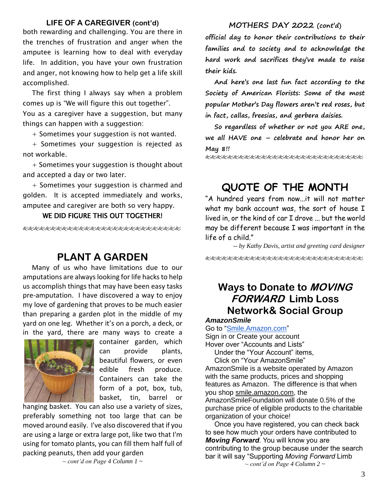### **LIFE OF A CAREGIVER (cont'd)**

both rewarding and challenging. You are there in the trenches of frustration and anger when the amputee is learning how to deal with everyday life. In addition, you have your own frustration and anger, not knowing how to help get a life skill accomplished.

The first thing I always say when a problem comes up is "We will figure this out together". You as a caregiver have a suggestion, but many things can happen with a suggestion:

+ Sometimes your suggestion is not wanted.

+ Sometimes your suggestion is rejected as not workable.

+ Sometimes your suggestion is thought about and accepted a day or two later.

+ Sometimes your suggestion is charmed and golden. It is accepted immediately and works, amputee and caregiver are both so very happy.

### WE DID FIGURE THIS OUT TOGETHER!

使发起的发光发光发光光光光光光光光光光光光光光光光

## **PLANT A GARDEN**

Many of us who have limitations due to our amputations are always looking for life hacks to help us accomplish things that may have been easy tasks pre-amputation. I have discovered a way to enjoy my love of gardening that proves to be much easier than preparing a garden plot in the middle of my yard on one leg. Whether it's on a porch, a deck, or in the yard, there are many ways to create a



container garden, which can provide plants, beautiful flowers, or even edible fresh produce. Containers can take the form of a pot, box, tub, basket, tin, barrel or

hanging basket. You can also use a variety of sizes, preferably something not too large that can be moved around easily. I've also discovered that if you are using a large or extra large pot, like two that I'm using for tomato plants, you can fill them half full of packing peanuts, then add your garden

*~ cont'd on Page 4 Column 1 ~*

### **MOTHERS DAY 2022 (cont'd)**

**official day to honor their contributions to their families and to society and to acknowledge the hard work and sacrifices they've made to raise their kids.** 

**And here's one last fun fact according to the Society of American Florists: Some of the most popular Mother's Day flowers aren't red roses, but in fact, callas, freesias, and gerbera daisies.**

**So regardless of whether or not you ARE one, we all HAVE one – celebrate and honor her on May 8!!**

kkkkkkkkkkkkkkkkkkkkkkkkkkkkkkk

# **QUOTE OF THE MONTH**

"A hundred years from now...it will not matter what my bank account was, the sort of house I lived in, or the kind of car I drove ... but the world may be different because I was important in the life of a child."

*-- by Kathy Davis, artist and greeting card designer* &&&&&&&&&&&&&&&&&&&&&&&&

# **Ways to Donate to MOVING FORWARD Limb Loss Network& Social Group**

### *AmazonSmile*

Go to ["Smile.Amazon.com"](https://smile.amazon.com/ap/signin?_encoding=UTF8&openid.assoc_handle=amzn_smile_mobile&openid.claimed_id=http%3A%2F%2Fspecs.openid.net%2Fauth%2F2.0%2Fidentifier_select&openid.identity=http%3A%2F%2Fspecs.openid.net%2Fauth%2F2.0%2Fidentifier_select&openid.mode=checkid_setup&openid.ns=http%3A%2F%2Fspecs.openid.net%2Fauth%2F2.0&openid.ns.pape=http%3A%2F%2Fspecs.openid.net%2Fextensions%2Fpape%2F1.0&openid.pape.max_auth_age=0&openid.return_to=https%3A%2F%2Fsmile.amazon.com%2Fgp%2Faw%2Fch%2Fhomepage) Sign in or Create your account Hover over "Accounts and Lists"

Under the "Your Account" items, Click on "Your AmazonSmile" AmazonSmile is a website operated by Amazon with the same products, prices and shopping features as Amazon. The difference is that when you shop smile.amazon.com, the AmazonSmileFoundation will donate 0.5% of the purchase price of eligible products to the charitable organization of your choice!

Once you have registered, you can check back to see how much your orders have contributed to *Moving Forward*. You will know you are contributing to the group because under the search bar it will say "Supporting *Moving Forward* Limb *~ cont'd on Page 4 Column 2 ~*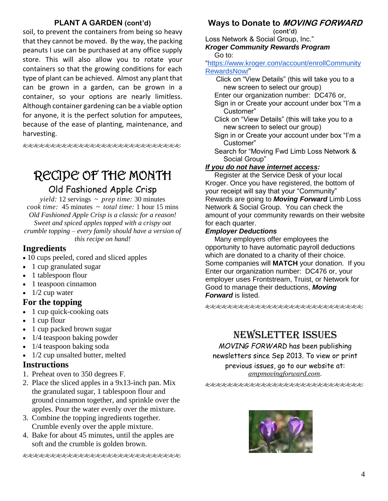## **PLANT A GARDEN (cont'd)**

soil, to prevent the containers from being so heavy that they cannot be moved. By the way, the packing peanuts I use can be purchased at any office supply store. This will also allow you to rotate your containers so that the growing conditions for each type of plant can be achieved. Almost any plant that can be grown in a garden, can be grown in a container, so your options are nearly limitless. Although container gardening can be a viable option for anyone, it is the perfect solution for amputees, because of the ease of planting, maintenance, and harvesting.

使发电电电电电电电电电电电电电电电电电电电电电

# RECIPE OF THE MONTH

## Old Fashioned Apple Crisp

*yield:* 12 servings ~ *prep time:* 30 minutes *cook time:* 45 minutes ~ *total time:* 1 hour 15 mins *Old Fashioned Apple Crisp is a classic for a reason! Sweet and spiced apples topped with a crispy oat crumble topping – every family should have a version of this recipe on hand!*

## **Ingredients**

- 10 cups peeled, cored and sliced apples
- 1 cup granulated sugar
- 1 tablespoon flour
- 1 teaspoon cinnamon
- $\bullet$  1/2 cup water

### **For the topping**

- 1 cup quick-cooking oats
- 1 cup flour
- 1 cup packed brown sugar
- 1/4 teaspoon baking powder
- 1/4 teaspoon baking soda
- 1/2 cup unsalted butter, melted

### **Instructions**

- 1. Preheat oven to 350 degrees F.
- 2. Place the sliced apples in a 9x13-inch pan. Mix the granulated sugar, 1 tablespoon flour and ground cinnamon together, and sprinkle over the apples. Pour the water evenly over the mixture.
- 3. Combine the topping ingredients together. Crumble evenly over the apple mixture.
- 4. Bake for about 45 minutes, until the apples are soft and the crumble is golden brown.

€&&&&&&&&&&&&&&&&&&&&&&&

## **Ways to Donate to MOVING FORWARD**

**(cont'd)**

Loss Network & Social Group, Inc." *Kroger Community Rewards Program*

Go to:

["https://www.kroger.com/account/enrollCommunity](https://www.kroger.com/account/enrollCommunityRewardsNow/) [RewardsNow/"](https://www.kroger.com/account/enrollCommunityRewardsNow/)

- Click on "View Details" (this will take you to a new screen to select our group)
- Enter our organization number: DC476 or,
- Sign in or Create your account under box "I'm a Customer"
- Click on "View Details" (this will take you to a new screen to select our group)
- Sign in or Create your account under box "I'm a Customer"
- Search for "Moving Fwd Limb Loss Network & Social Group"

### *If you do not have internet access:*

Register at the Service Desk of your local Kroger. Once you have registered, the bottom of your receipt will say that your "Community" Rewards are going to *Moving Forward* Limb Loss Network & Social Group. You can check the amount of your community rewards on their website for each quarter.

### *Employer Deductions*

Many employers offer employees the opportunity to have automatic payroll deductions which are donated to a charity of their choice. Some companies will **MATCH** your donation. If you Enter our organization number: DC476 or, your employer uses Frontstream, Truist, or Network for Good to manage their deductions, *Moving Forward* is listed.

## NEWSLETTER ISSUES

*MOVING FORWARD* has been publishing newsletters since Sep 2013. To view or print previous issues, go to our website at: *ampmovingforward.com.*

&&&&&&&&&&&&&&&&&&&&&&&&&